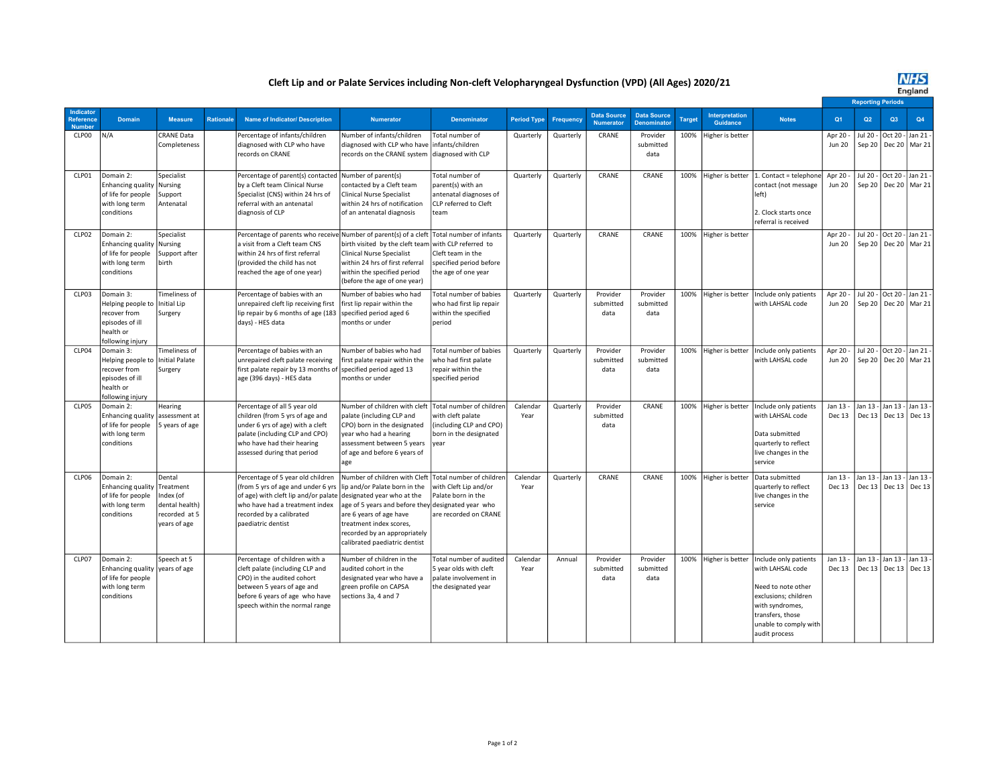## Cleft Lip and or Palate Services including Non-cleft Velopharyngeal Dysfunction (VPD) (All Ages) 2020/21

## **NHS**<br>England

|                                               |                                                                                                    |                                                                                     |                  |                                                                                                                                                                                                                                |                                                                                                                                                                                                                         |                                                                                                                         |                    |           |                                        |                                          |        |                            |                                                                                                                                                                          |                           | <b>Reporting Periods</b> |                      |                                      |  |
|-----------------------------------------------|----------------------------------------------------------------------------------------------------|-------------------------------------------------------------------------------------|------------------|--------------------------------------------------------------------------------------------------------------------------------------------------------------------------------------------------------------------------------|-------------------------------------------------------------------------------------------------------------------------------------------------------------------------------------------------------------------------|-------------------------------------------------------------------------------------------------------------------------|--------------------|-----------|----------------------------------------|------------------------------------------|--------|----------------------------|--------------------------------------------------------------------------------------------------------------------------------------------------------------------------|---------------------------|--------------------------|----------------------|--------------------------------------|--|
| <b>Indicator</b><br>Reference<br><b>Numbe</b> | <b>Domain</b>                                                                                      | <b>Measure</b>                                                                      | <b>Rationale</b> | <b>Name of Indicator/ Description</b>                                                                                                                                                                                          | <b>Numerator</b>                                                                                                                                                                                                        | <b>Denominator</b>                                                                                                      | <b>Period Type</b> | Frequency | <b>Data Source</b><br><b>Numerator</b> | <b>Data Source</b><br><b>Denominator</b> | Target | Interpretation<br>Guidance | <b>Notes</b>                                                                                                                                                             | Q <sub>1</sub>            | Q <sub>2</sub>           | Q3                   | Q4                                   |  |
| CLP00                                         | N/A                                                                                                | CRANE Data<br>Completeness                                                          |                  | Percentage of infants/children<br>diagnosed with CLP who have<br>records on CRANE                                                                                                                                              | Number of infants/children<br>diagnosed with CLP who have<br>records on the CRANE system                                                                                                                                | Total number of<br>infants/children<br>diagnosed with CLP                                                               | Quarterly          | Quarterly | CRANE                                  | Provider<br>submitted<br>data            | 100%   | ligher is better           |                                                                                                                                                                          | Apr 20 -<br><b>Jun 20</b> | Jul 20 -<br>Sep 20       | Oct 20 -             | Jan 21 -<br>Dec 20   Mar 21          |  |
| CLP01                                         | Domain 2:<br><b>Enhancing quality</b><br>of life for people<br>with long term<br>conditions        | Specialist<br>Nursing<br>Support<br>Antenatal                                       |                  | Percentage of parent(s) contacted<br>by a Cleft team Clinical Nurse<br>Specialist (CNS) within 24 hrs of<br>referral with an antenatal<br>diagnosis of CLP                                                                     | Number of parent(s)<br>contacted by a Cleft team<br><b>Clinical Nurse Specialist</b><br>within 24 hrs of notification<br>of an antenatal diagnosis                                                                      | Total number of<br>parent(s) with an<br>antenatal diagnoses of<br>CLP referred to Cleft<br>team                         | Quarterly          | Quarterly | CRANE                                  | CRANE                                    | 100%   | Higher is better           | 1. Contact = telephone<br>contact (not message<br>left)<br>2. Clock starts once<br>referral is received                                                                  | Apr 20<br><b>Jun 20</b>   | Jul 20 -<br>Sep 20       | Oct 20 -             | Jan 21<br>Dec 20   Mar 21            |  |
| CLP02                                         | Domain 2:<br><b>Enhancing quality</b><br>of life for people<br>with long term<br>conditions        | Specialist<br>Nursing<br>Support after<br>birth                                     |                  | Percentage of parents who receiv<br>a visit from a Cleft team CNS<br>within 24 hrs of first referral<br>(provided the child has not<br>reached the age of one year)                                                            | Number of parent(s) of a cleft<br>birth visited by the cleft team<br><b>Clinical Nurse Specialist</b><br>within 24 hrs of first referral<br>within the specified period<br>(before the age of one year)                 | Total number of infants<br>with CLP referred to<br>Cleft team in the<br>specified period before<br>the age of one year  | Quarterly          | Quarterly | CRANE                                  | CRANE                                    | 100%   | Higher is better           |                                                                                                                                                                          | Apr 20<br><b>Jun 20</b>   | Jul 20 -<br>Sep 20       | Oct 20               | Jan 21<br>Dec 20   Mar 21            |  |
| CLP03                                         | Domain 3:<br>Helping people to<br>recover from<br>episodes of ill<br>health or<br>following injury | Timeliness of<br><b>Initial Lip</b><br>Surgery                                      |                  | Percentage of babies with an<br>unrepaired cleft lip receiving first<br>lip repair by 6 months of age (183<br>days) - HES data                                                                                                 | Number of babies who had<br>first lip repair within the<br>specified period aged 6<br>months or under                                                                                                                   | Total number of babies<br>who had first lip repair<br>within the specified<br>period                                    | Quarterly          | Quarterly | Provider<br>submitted<br>data          | Provider<br>submitted<br>data            | 100%   | Higher is better           | Include only patients<br>with LAHSAL code                                                                                                                                | Apr 20<br><b>Jun 20</b>   | Jul 20 -<br>Sep 20       |                      | Oct 20 - Jan 21 -<br>Dec 20   Mar 21 |  |
| CLP04                                         | Domain 3:<br>Helping people to<br>recover from<br>episodes of ill<br>health or<br>ollowing injury  | Timeliness of<br>Initial Palate<br>Surgery                                          |                  | Percentage of babies with an<br>unrepaired cleft palate receiving<br>first palate repair by 13 months of specified period aged 13<br>age (396 days) - HES data                                                                 | Number of babies who had<br>first palate repair within the<br>months or under                                                                                                                                           | Total number of babies<br>who had first palate<br>repair within the<br>specified period                                 | Quarterly          | Quarterly | Provider<br>submitted<br>data          | Provider<br>submitted<br>data            | 100%   | Higher is better           | Include only patients<br>with LAHSAL code                                                                                                                                | Apr 20<br><b>Jun 20</b>   | Jul 20 -<br>Sep 20       | Oct 20 - Jan 21      | Dec 20   Mar 21                      |  |
| CLP05                                         | Domain 2:<br>Enhancing quality assessment at<br>of life for people<br>with long term<br>conditions | Hearing<br>5 years of age                                                           |                  | Percentage of all 5 year old<br>children (from 5 yrs of age and<br>under 6 yrs of age) with a cleft<br>palate (including CLP and CPO)<br>who have had their hearing<br>assessed during that period                             | Number of children with cleft<br>palate (including CLP and<br>CPO) born in the designated<br>year who had a hearing<br>assessment between 5 years<br>of age and before 6 years of<br>age                                | Total number of children<br>with cleft palate<br>(including CLP and CPO)<br>born in the designated<br>year              | Calendar<br>Year   | Quarterly | Provider<br>submitted<br>data          | CRANE                                    | 100%   | Higher is better           | Include only patients<br>with LAHSAL code<br>Data submitted<br>quarterly to reflect<br>live changes in the<br>service                                                    | Jan 13<br>Dec 13          | Jan $13 -$<br>Dec 13     | Jan 13 -<br>Dec $13$ | Jan 13<br>Dec 13                     |  |
| CLP06                                         | Domain 2:<br><b>Enhancing quality</b><br>of life for people<br>with long term<br>conditions        | Dental<br>Treatment<br>Index (of<br>dental health)<br>recorded at 5<br>years of age |                  | Percentage of 5 year old children<br>(from 5 yrs of age and under 6 yrs<br>of age) with cleft lip and/or palate designated year who at the<br>who have had a treatment index<br>recorded by a calibrated<br>paediatric dentist | Number of children with Cleft<br>lip and/or Palate born in the<br>age of 5 years and before they<br>are 6 years of age have<br>treatment index scores,<br>recorded by an appropriately<br>calibrated paediatric dentist | Total number of children<br>with Cleft Lip and/or<br>Palate born in the<br>designated year who<br>are recorded on CRANE | Calendar<br>Year   | Quarterly | CRANE                                  | CRANE                                    | 100%   | Higher is better           | Data submitted<br>quarterly to reflect<br>live changes in the<br>service                                                                                                 | Jan 13<br>Dec 13          | Jan 13 -<br>Dec 13       | Jan 13 -             | Jan 13 -<br>Dec 13 Dec 13            |  |
| CLP07                                         | Domain 2:<br>Enhancing quality vears of age<br>of life for people<br>with long term<br>conditions  | Speech at 5                                                                         |                  | Percentage of children with a<br>cleft palate (including CLP and<br>CPO) in the audited cohort<br>between 5 years of age and<br>before 6 years of age who have<br>speech within the normal range                               | Number of children in the<br>audited cohort in the<br>designated year who have a<br>green profile on CAPSA<br>sections 3a, 4 and 7                                                                                      | Total number of audited<br>5 year olds with cleft<br>palate involvement in<br>the designated year                       | Calendar<br>Year   | Annual    | Provider<br>submitted<br>data          | Provider<br>submitted<br>data            | 100%   | Higher is better           | Include only patients<br>with LAHSAL code<br>Need to note other<br>exclusions; children<br>with syndromes,<br>transfers, those<br>unable to comply with<br>audit process | Jan 13<br>Dec 13          | Jan $13 -$<br>Dec 13     | Jan 13 -             | Jan 13 -<br>Dec 13 Dec 13            |  |